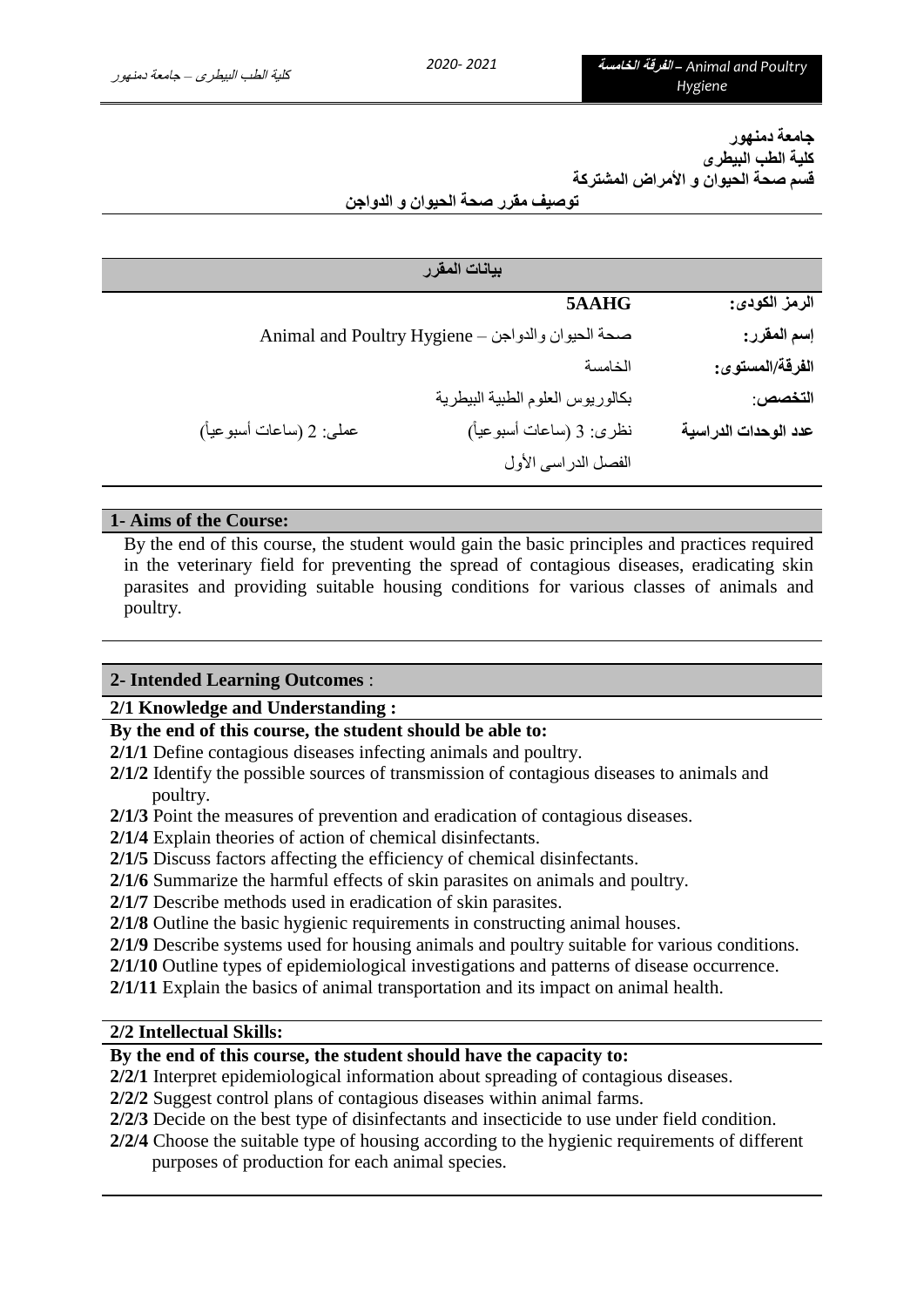**جامعة دمنهور كلية الطب البيطرى قسم صحة الحيوان و األمراض المشتركة**

**توصيف مقرر صحة الحيوان و الدواجن**

| بيانات المقرر            |                                                   |                      |  |  |
|--------------------------|---------------------------------------------------|----------------------|--|--|
|                          | 5AAHG                                             | الرمز الكودي:        |  |  |
|                          | Animal and Poultry Hygiene - صحة الحيوان والدواجن | إسم المقرر:          |  |  |
|                          | الخامسة                                           | الفرقة/المستوى:      |  |  |
|                          | بكالوريوس العلوم الطبية البيطرية                  | التخصص:              |  |  |
| عملي: 2 (ساعات أسبوعياً) | نظري: 3 (ساعات أسبوعياً)                          | عدد الوحدات الدراسية |  |  |
|                          | الفصل الدراسي الأول                               |                      |  |  |

#### **1- Aims of the Course:**

By the end of this course, the student would gain the basic principles and practices required in the veterinary field for preventing the spread of contagious diseases, eradicating skin parasites and providing suitable housing conditions for various classes of animals and poultry.

#### **2- Intended Learning Outcomes** :

#### **2/1 Knowledge and Understanding :**

#### **By the end of this course, the student should be able to:**

- **2/1/1** Define contagious diseases infecting animals and poultry.
- **2/1/2** Identify the possible sources of transmission of contagious diseases to animals and poultry.
- **2/1/3** Point the measures of prevention and eradication of contagious diseases.
- **2/1/4** Explain theories of action of chemical disinfectants.
- **2/1/5** Discuss factors affecting the efficiency of chemical disinfectants.
- **2/1/6** Summarize the harmful effects of skin parasites on animals and poultry.
- **2/1/7** Describe methods used in eradication of skin parasites.
- **2/1/8** Outline the basic hygienic requirements in constructing animal houses.
- **2/1/9** Describe systems used for housing animals and poultry suitable for various conditions.
- **2/1/10** Outline types of epidemiological investigations and patterns of disease occurrence.
- **2/1/11** Explain the basics of animal transportation and its impact on animal health.

#### **2/2 Intellectual Skills:**

#### **By the end of this course, the student should have the capacity to:**

- **2/2/1** Interpret epidemiological information about spreading of contagious diseases.
- **2/2/2** Suggest control plans of contagious diseases within animal farms.
- **2/2/3** Decide on the best type of disinfectants and insecticide to use under field condition.
- **2/2/4** Choose the suitable type of housing according to the hygienic requirements of different purposes of production for each animal species.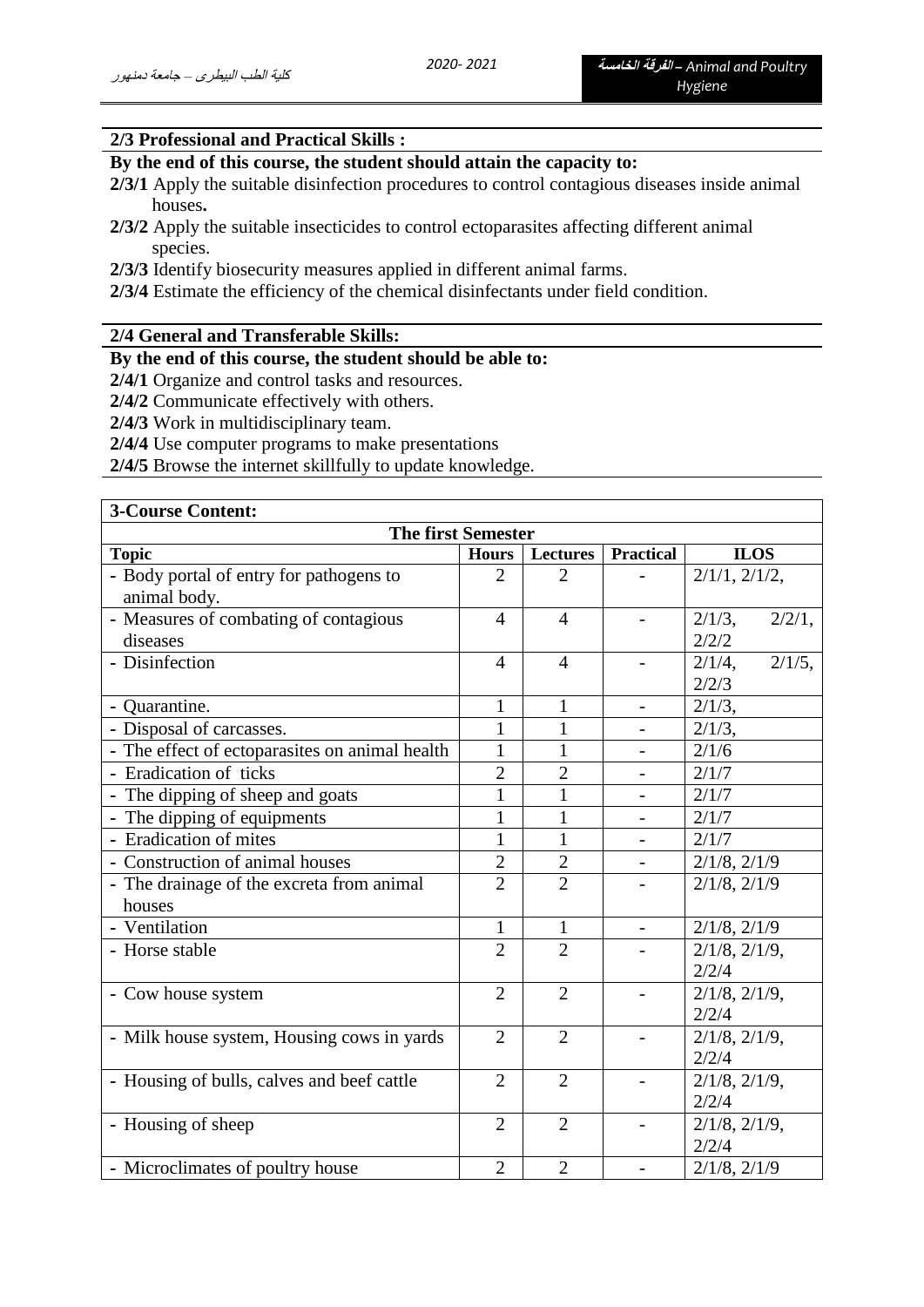### **2/3 Professional and Practical Skills :**

## **By the end of this course, the student should attain the capacity to:**

- **2/3/1** Apply the suitable disinfection procedures to control contagious diseases inside animal houses**.**
- **2/3/2** Apply the suitable insecticides to control ectoparasites affecting different animal species.
- **2/3/3** Identify biosecurity measures applied in different animal farms.
- **2/3/4** Estimate the efficiency of the chemical disinfectants under field condition.

#### **2/4 General and Transferable Skills:**

**By the end of this course, the student should be able to:**

**2/4/1** Organize and control tasks and resources.

**2/4/2** Communicate effectively with others.

**2/4/3** Work in multidisciplinary team.

**2/4/4** Use computer programs to make presentations

**2/4/5** Browse the internet skillfully to update knowledge.

| <b>3-Course Content:</b>                                |                |                 |                          |                                 |  |
|---------------------------------------------------------|----------------|-----------------|--------------------------|---------------------------------|--|
| <b>The first Semester</b>                               |                |                 |                          |                                 |  |
| <b>Topic</b>                                            | <b>Hours</b>   | <b>Lectures</b> | <b>Practical</b>         | <b>ILOS</b>                     |  |
| - Body portal of entry for pathogens to<br>animal body. | $\overline{2}$ | $\overline{2}$  |                          | $2/1/1$ , $2/1/2$ ,             |  |
| - Measures of combating of contagious<br>diseases       | $\overline{4}$ | $\overline{4}$  |                          | $2/1/3$ ,<br>2/2/1,<br>2/2/2    |  |
| - Disinfection                                          | $\overline{4}$ | $\overline{4}$  |                          | $2/1/5$ ,<br>$2/1/4$ ,<br>2/2/3 |  |
| - Quarantine.                                           | $\mathbf{1}$   | $\mathbf{1}$    | $\overline{\phantom{a}}$ | $2/1/3$ ,                       |  |
| - Disposal of carcasses.                                | 1              | 1               |                          | $2/1/3$ ,                       |  |
| - The effect of ectoparasites on animal health          | 1              |                 |                          | 2/1/6                           |  |
| - Eradication of ticks                                  | $\overline{2}$ | $\overline{2}$  |                          | 2/1/7                           |  |
| - The dipping of sheep and goats                        | $\mathbf{1}$   | 1               | $\overline{\phantom{a}}$ | 2/1/7                           |  |
| - The dipping of equipments                             |                | $\mathbf{1}$    |                          | 2/1/7                           |  |
| - Eradication of mites                                  | 1              | 1               | $\overline{\phantom{0}}$ | 2/1/7                           |  |
| - Construction of animal houses                         | $\overline{2}$ | $\overline{2}$  |                          | $2/1/8$ , $2/1/9$               |  |
| - The drainage of the excreta from animal<br>houses     | $\overline{2}$ | $\overline{2}$  |                          | $2/1/8$ , $2/1/9$               |  |
| - Ventilation                                           | $\mathbf{1}$   | $\mathbf{1}$    |                          | $2/1/8$ , $2/1/9$               |  |
| - Horse stable                                          | $\overline{2}$ | $\overline{2}$  |                          | $2/1/8$ , $2/1/9$ ,<br>2/2/4    |  |
| - Cow house system                                      | $\overline{2}$ | $\overline{2}$  |                          | $2/1/8$ , $2/1/9$ ,<br>2/2/4    |  |
| - Milk house system, Housing cows in yards              | $\overline{2}$ | $\overline{2}$  |                          | $2/1/8$ , $2/1/9$ ,<br>2/2/4    |  |
| - Housing of bulls, calves and beef cattle              | $\overline{2}$ | $\overline{2}$  |                          | $2/1/8$ , $2/1/9$ ,<br>2/2/4    |  |
| - Housing of sheep                                      | $\overline{2}$ | $\overline{2}$  |                          | $2/1/8$ , $2/1/9$ ,<br>2/2/4    |  |
| - Microclimates of poultry house                        | $\overline{2}$ | $\overline{2}$  |                          | $2/1/8$ , $2/1/9$               |  |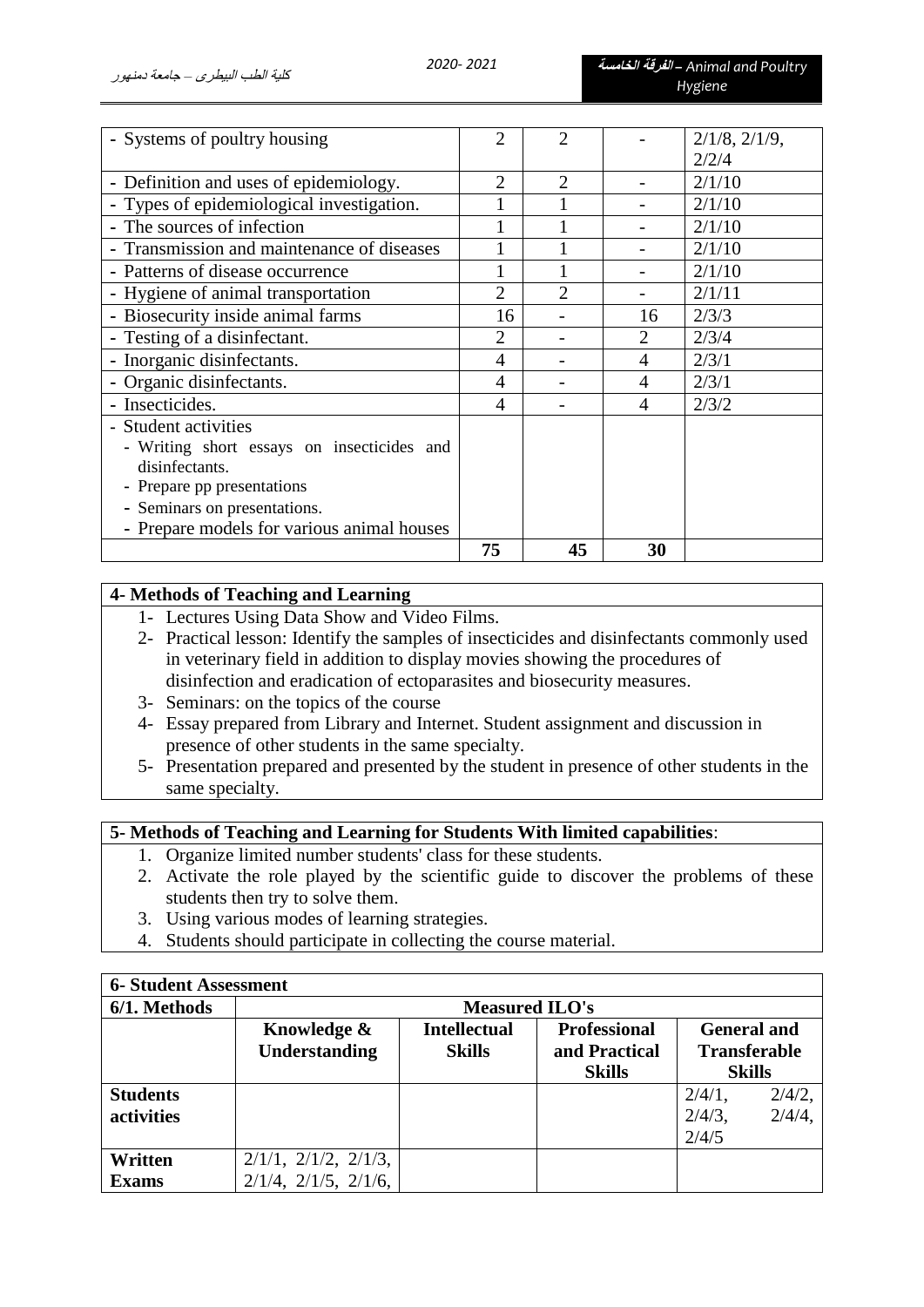| - Systems of poultry housing               | 2                     | 2                     |                | $2/1/8$ , $2/1/9$ , |
|--------------------------------------------|-----------------------|-----------------------|----------------|---------------------|
|                                            |                       |                       |                | 2/2/4               |
| - Definition and uses of epidemiology.     | $\mathcal{D}_{\cdot}$ | $\mathcal{D}_{\cdot}$ |                | 2/1/10              |
| - Types of epidemiological investigation.  |                       |                       |                | 2/1/10              |
| - The sources of infection                 |                       |                       |                | 2/1/10              |
| - Transmission and maintenance of diseases |                       |                       |                | 2/1/10              |
| - Patterns of disease occurrence           |                       |                       |                | 2/1/10              |
| - Hygiene of animal transportation         | 2                     | $\mathfrak{D}$        |                | 2/1/11              |
| - Biosecurity inside animal farms          | 16                    |                       | 16             | 2/3/3               |
| - Testing of a disinfectant.               | 2                     |                       | $\overline{2}$ | 2/3/4               |
| - Inorganic disinfectants.                 | 4                     |                       | 4              | 2/3/1               |
| - Organic disinfectants.                   | 4                     |                       | 4              | 2/3/1               |
| - Insecticides.                            | 4                     |                       | 4              | 2/3/2               |
| - Student activities                       |                       |                       |                |                     |
| - Writing short essays on insecticides and |                       |                       |                |                     |
| disinfectants.                             |                       |                       |                |                     |
| - Prepare pp presentations                 |                       |                       |                |                     |
| - Seminars on presentations.               |                       |                       |                |                     |
| - Prepare models for various animal houses |                       |                       |                |                     |
|                                            | 75                    | 45                    | 30             |                     |

# **4- Methods of Teaching and Learning**

- 1- Lectures Using Data Show and Video Films.
- 2- Practical lesson: Identify the samples of insecticides and disinfectants commonly used in veterinary field in addition to display movies showing the procedures of disinfection and eradication of ectoparasites and biosecurity measures.
- 3- Seminars: on the topics of the course
- 4- Essay prepared from Library and Internet. Student assignment and discussion in presence of other students in the same specialty.
- 5- Presentation prepared and presented by the student in presence of other students in the same specialty.

# **5- Methods of Teaching and Learning for Students With limited capabilities**:

- 1. Organize limited number students' class for these students.
- 2. Activate the role played by the scientific guide to discover the problems of these students then try to solve them.
- 3. Using various modes of learning strategies.
- 4. Students should participate in collecting the course material.

| <b>6- Student Assessment</b> |                                                           |               |                    |                     |           |
|------------------------------|-----------------------------------------------------------|---------------|--------------------|---------------------|-----------|
| 6/1. Methods                 | <b>Measured ILO's</b>                                     |               |                    |                     |           |
|                              | <b>Intellectual</b><br><b>Professional</b><br>Knowledge & |               | <b>General and</b> |                     |           |
|                              | Understanding                                             | <b>Skills</b> | and Practical      | <b>Transferable</b> |           |
|                              |                                                           |               | <b>Skills</b>      | <b>Skills</b>       |           |
| <b>Students</b>              |                                                           |               |                    | $2/4/1$ ,           | $2/4/2$ , |
| activities                   |                                                           |               |                    | $2/4/3$ ,           | $2/4/4$ , |
|                              |                                                           |               |                    | 2/4/5               |           |
| Written                      | $2/1/1$ , $2/1/2$ , $2/1/3$ ,                             |               |                    |                     |           |
| <b>Exams</b>                 | $2/1/4$ , $2/1/5$ , $2/1/6$ ,                             |               |                    |                     |           |